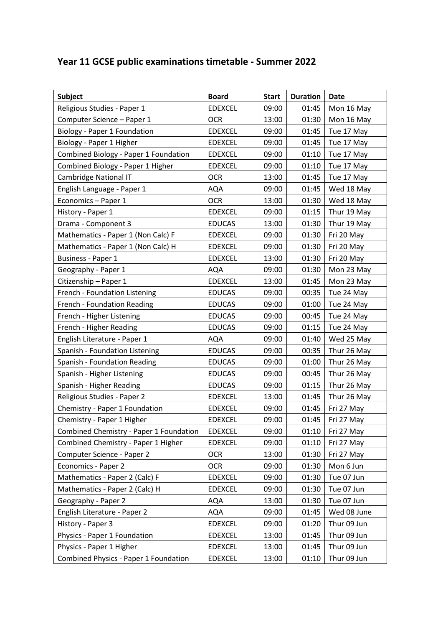## **Year 11 GCSE public examinations timetable - Summer 2022**

| Subject                                 | <b>Board</b>   | <b>Start</b> | <b>Duration</b> | Date        |
|-----------------------------------------|----------------|--------------|-----------------|-------------|
| Religious Studies - Paper 1             | <b>EDEXCEL</b> | 09:00        | 01:45           | Mon 16 May  |
| Computer Science - Paper 1              | <b>OCR</b>     | 13:00        | 01:30           | Mon 16 May  |
| Biology - Paper 1 Foundation            | <b>EDEXCEL</b> | 09:00        | 01:45           | Tue 17 May  |
| Biology - Paper 1 Higher                | <b>EDEXCEL</b> | 09:00        | 01:45           | Tue 17 May  |
| Combined Biology - Paper 1 Foundation   | <b>EDEXCEL</b> | 09:00        | 01:10           | Tue 17 May  |
| Combined Biology - Paper 1 Higher       | <b>EDEXCEL</b> | 09:00        | 01:10           | Tue 17 May  |
| Cambridge National IT                   | <b>OCR</b>     | 13:00        | 01:45           | Tue 17 May  |
| English Language - Paper 1              | AQA            | 09:00        | 01:45           | Wed 18 May  |
| Economics - Paper 1                     | <b>OCR</b>     | 13:00        | 01:30           | Wed 18 May  |
| History - Paper 1                       | <b>EDEXCEL</b> | 09:00        | 01:15           | Thur 19 May |
| Drama - Component 3                     | <b>EDUCAS</b>  | 13:00        | 01:30           | Thur 19 May |
| Mathematics - Paper 1 (Non Calc) F      | <b>EDEXCEL</b> | 09:00        | 01:30           | Fri 20 May  |
| Mathematics - Paper 1 (Non Calc) H      | <b>EDEXCEL</b> | 09:00        | 01:30           | Fri 20 May  |
| <b>Business - Paper 1</b>               | <b>EDEXCEL</b> | 13:00        | 01:30           | Fri 20 May  |
| Geography - Paper 1                     | <b>AQA</b>     | 09:00        | 01:30           | Mon 23 May  |
| Citizenship - Paper 1                   | <b>EDEXCEL</b> | 13:00        | 01:45           | Mon 23 May  |
| French - Foundation Listening           | <b>EDUCAS</b>  | 09:00        | 00:35           | Tue 24 May  |
| French - Foundation Reading             | <b>EDUCAS</b>  | 09:00        | 01:00           | Tue 24 May  |
| French - Higher Listening               | <b>EDUCAS</b>  | 09:00        | 00:45           | Tue 24 May  |
| French - Higher Reading                 | <b>EDUCAS</b>  | 09:00        | 01:15           | Tue 24 May  |
| English Literature - Paper 1            | <b>AQA</b>     | 09:00        | 01:40           | Wed 25 May  |
| Spanish - Foundation Listening          | <b>EDUCAS</b>  | 09:00        | 00:35           | Thur 26 May |
| Spanish - Foundation Reading            | <b>EDUCAS</b>  | 09:00        | 01:00           | Thur 26 May |
| Spanish - Higher Listening              | <b>EDUCAS</b>  | 09:00        | 00:45           | Thur 26 May |
| Spanish - Higher Reading                | <b>EDUCAS</b>  | 09:00        | 01:15           | Thur 26 May |
| Religious Studies - Paper 2             | <b>EDEXCEL</b> | 13:00        | 01:45           | Thur 26 May |
| Chemistry - Paper 1 Foundation          | <b>EDEXCEL</b> | 09:00        | 01:45           | Fri 27 May  |
| Chemistry - Paper 1 Higher              | <b>EDEXCEL</b> | 09:00        | 01:45           | Fri 27 May  |
| Combined Chemistry - Paper 1 Foundation | <b>EDEXCEL</b> | 09:00        | 01:10           | Fri 27 May  |
| Combined Chemistry - Paper 1 Higher     | <b>EDEXCEL</b> | 09:00        | 01:10           | Fri 27 May  |
| Computer Science - Paper 2              | <b>OCR</b>     | 13:00        | 01:30           | Fri 27 May  |
| Economics - Paper 2                     | <b>OCR</b>     | 09:00        | 01:30           | Mon 6 Jun   |
| Mathematics - Paper 2 (Calc) F          | <b>EDEXCEL</b> | 09:00        | 01:30           | Tue 07 Jun  |
| Mathematics - Paper 2 (Calc) H          | <b>EDEXCEL</b> | 09:00        | 01:30           | Tue 07 Jun  |
| Geography - Paper 2                     | AQA            | 13:00        | 01:30           | Tue 07 Jun  |
| English Literature - Paper 2            | <b>AQA</b>     | 09:00        | 01:45           | Wed 08 June |
| History - Paper 3                       | <b>EDEXCEL</b> | 09:00        | 01:20           | Thur 09 Jun |
| Physics - Paper 1 Foundation            | <b>EDEXCEL</b> | 13:00        | 01:45           | Thur 09 Jun |
| Physics - Paper 1 Higher                | <b>EDEXCEL</b> | 13:00        | 01:45           | Thur 09 Jun |
| Combined Physics - Paper 1 Foundation   | <b>EDEXCEL</b> | 13:00        | 01:10           | Thur 09 Jun |